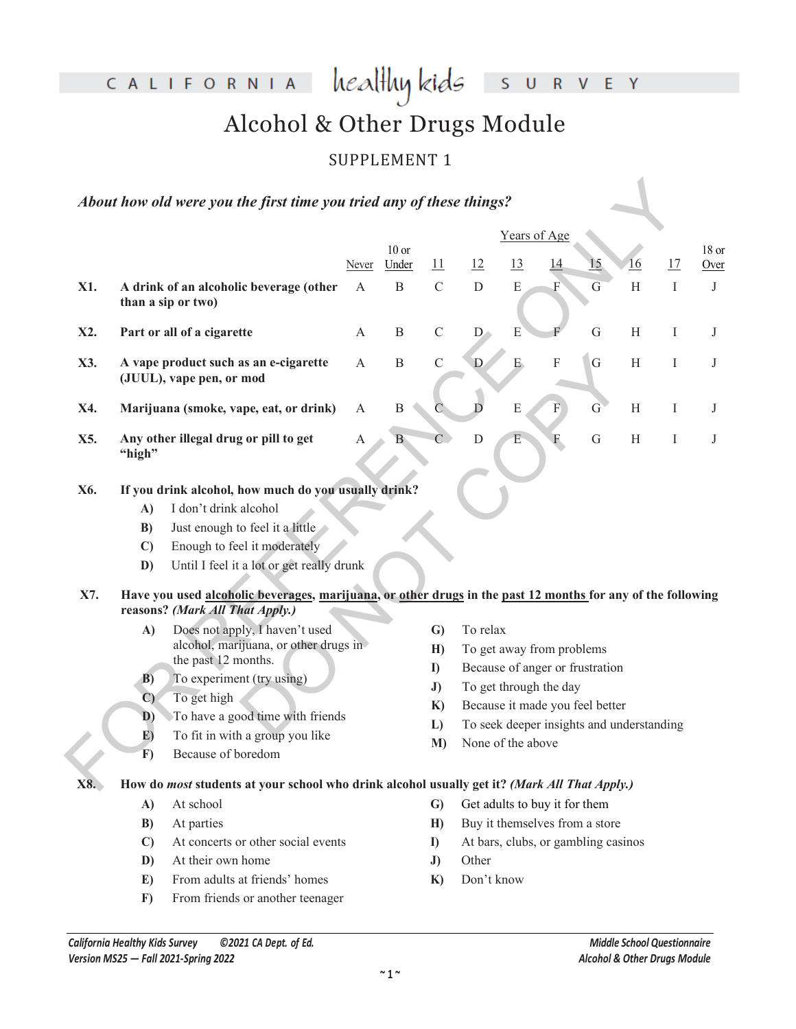CALIFORNIA healthykids SURVEY

# Alcohol & Other Drugs Module

## SUPPLEMENT 1

|     |                                                                                                                                 | About how old were you the first time you tried any of these things?                                                                           |              |                  |                |                                 |                   |                                           |             |                           |         |               |
|-----|---------------------------------------------------------------------------------------------------------------------------------|------------------------------------------------------------------------------------------------------------------------------------------------|--------------|------------------|----------------|---------------------------------|-------------------|-------------------------------------------|-------------|---------------------------|---------|---------------|
|     |                                                                                                                                 |                                                                                                                                                |              |                  |                |                                 | Years of Age      |                                           |             |                           |         |               |
|     |                                                                                                                                 |                                                                                                                                                | Never        | $10$ or<br>Under | <u> 11</u>     | 12                              | <u>13</u>         |                                           | 15          | $\underline{16}$          | 17      | 18 or<br>Over |
| X1. |                                                                                                                                 | A drink of an alcoholic beverage (other<br>than a sip or two)                                                                                  | $\mathbf{A}$ | B                | $\mathcal{C}$  | ${\rm D}$                       | $\mathbf E$       | F                                         | G           | $\boldsymbol{\mathrm{H}}$ | $\bf I$ | $\bf J$       |
| X2. |                                                                                                                                 | Part or all of a cigarette                                                                                                                     | A            | $\mathbf B$      | $\mathsf C$    | $D_{\alpha}$                    | E                 |                                           | $\mathbf G$ | H                         | I       | J             |
| X3. |                                                                                                                                 | A vape product such as an e-cigarette<br>(JUUL), vape pen, or mod                                                                              | A            | B                | $\mathbf C$    | D                               | E.                | F                                         | G           | H                         | I       | J             |
| X4. |                                                                                                                                 | Marijuana (smoke, vape, eat, or drink)                                                                                                         | A            | $\boldsymbol{B}$ |                | D                               | E                 | F                                         | $\mathbf G$ | H                         | Ι       | J             |
| X5. | "high"                                                                                                                          | Any other illegal drug or pill to get                                                                                                          | A            | $B^{\dagger}$    | $\overline{C}$ | $\mathbf D$                     | E                 | F                                         | $\mathbf G$ | H                         | Ι       | J             |
| X6. |                                                                                                                                 | If you drink alcohol, how much do you usually drink?                                                                                           |              |                  |                |                                 |                   |                                           |             |                           |         |               |
|     | A)                                                                                                                              | I don't drink alcohol                                                                                                                          |              |                  |                |                                 |                   |                                           |             |                           |         |               |
|     | B)                                                                                                                              | Just enough to feel it a little                                                                                                                |              |                  |                |                                 |                   |                                           |             |                           |         |               |
|     | $\mathbf{C}$                                                                                                                    | Enough to feel it moderately                                                                                                                   |              |                  |                |                                 |                   |                                           |             |                           |         |               |
|     | D)                                                                                                                              | Until I feel it a lot or get really drunk                                                                                                      |              |                  |                |                                 |                   |                                           |             |                           |         |               |
| X7. |                                                                                                                                 | Have you used alcoholic beverages, marijuana, or other drugs in the past 12 months for any of the following<br>reasons? (Mark All That Apply.) |              |                  |                |                                 |                   |                                           |             |                           |         |               |
|     | $\mathbf{A}$                                                                                                                    | Does not apply, I haven't used                                                                                                                 |              |                  | $\mathbf{G}$   | To relax                        |                   |                                           |             |                           |         |               |
|     | alcohol, marijuana, or other drugs in                                                                                           |                                                                                                                                                |              |                  | H)             | To get away from problems       |                   |                                           |             |                           |         |               |
|     |                                                                                                                                 |                                                                                                                                                |              |                  |                | Because of anger or frustration |                   |                                           |             |                           |         |               |
|     |                                                                                                                                 |                                                                                                                                                |              |                  | J)             |                                 |                   | To get through the day                    |             |                           |         |               |
|     | the past 12 months.<br>To experiment (try using)<br>B)<br>To get high<br>$\mathbf{C}$<br>To have a good time with friends<br>D) |                                                                                                                                                |              | K)               |                | Because it made you feel better |                   |                                           |             |                           |         |               |
|     | E)                                                                                                                              | To fit in with a group you like                                                                                                                |              |                  | L)             |                                 |                   | To seek deeper insights and understanding |             |                           |         |               |
|     | F)                                                                                                                              | Because of boredom                                                                                                                             |              |                  | M)             |                                 | None of the above |                                           |             |                           |         |               |
| X8. |                                                                                                                                 | How do most students at your school who drink alcohol usually get it? (Mark All That Apply.)                                                   |              |                  |                |                                 |                   |                                           |             |                           |         |               |
|     | A)                                                                                                                              | At school                                                                                                                                      |              |                  | $\mathbf{G}$   |                                 |                   | Get adults to buy it for them             |             |                           |         |               |
|     | B)                                                                                                                              | At parties                                                                                                                                     |              |                  | H)             |                                 |                   | Buy it themselves from a store            |             |                           |         |               |
|     | $\mathbf{C}$                                                                                                                    | At concerts or other social events                                                                                                             |              |                  | $\bf{I}$       |                                 |                   | At bars, clubs, or gambling casinos       |             |                           |         |               |
|     | D)                                                                                                                              | At their own home                                                                                                                              |              |                  | J)             | Other                           |                   |                                           |             |                           |         |               |
|     | E)                                                                                                                              | From adults at friends' homes                                                                                                                  |              |                  | $\mathbf{K}$   | Don't know                      |                   |                                           |             |                           |         |               |
|     | $\bf{F})$                                                                                                                       | From friends or another teenager                                                                                                               |              |                  |                |                                 |                   |                                           |             |                           |         |               |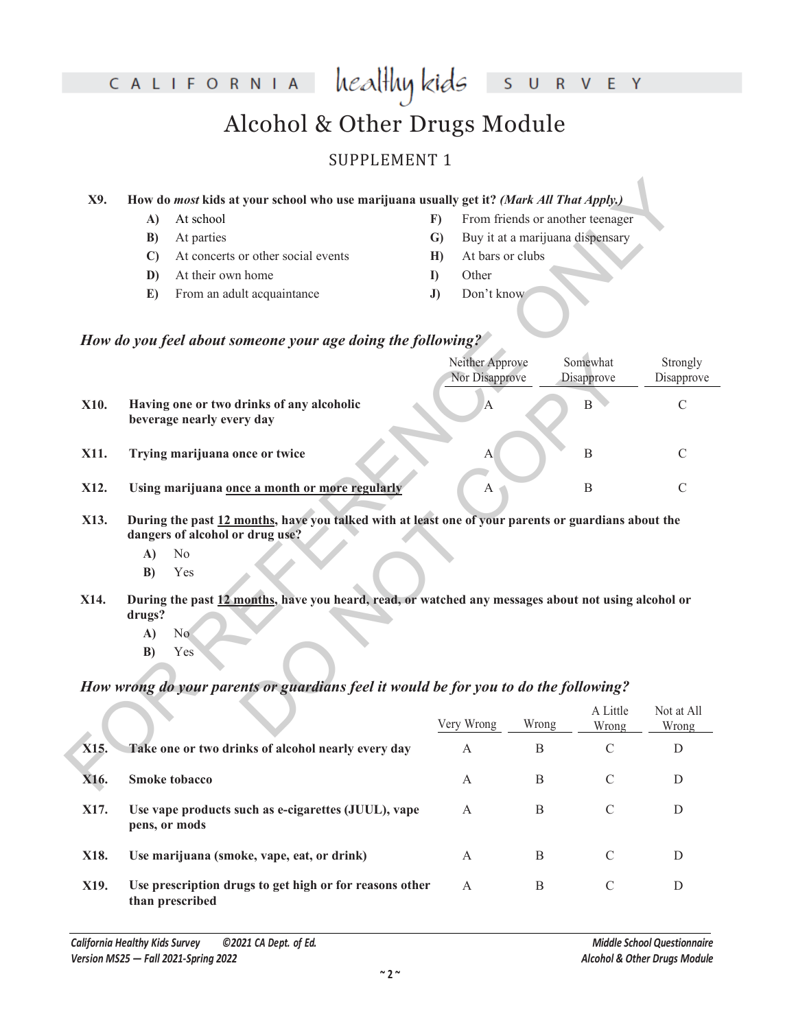#### CALIFORNIA healthy kids V E Y  ${\sf R}$  $\cup$ S Alcohol & Other Drugs Module SUPPLEMENT 1

#### **X9. How do** *most* **kids at your school who use marijuana usually get it?** *(Mark All That Apply.)*

- **A)** At school
- **B)** At parties
- **C)** At concerts or other social events
- **D)** At their own home
- **E)** From an adult acquaintance
- **F)** From friends or another teenager
- **G)** Buy it at a marijuana dispensary
- **H)** At bars or clubs
- **I)** Other
- **J)** Don't know

#### *How do you feel about someone your age doing the following?*

| X9.  |                    | How do most kids at your school who use marijuana usually get it? (Mark All That Apply.)                                                            |              |                                   |                                  |                        |                        |
|------|--------------------|-----------------------------------------------------------------------------------------------------------------------------------------------------|--------------|-----------------------------------|----------------------------------|------------------------|------------------------|
|      | A)                 | At school                                                                                                                                           | F)           |                                   | From friends or another teenager |                        |                        |
|      | B)                 | At parties                                                                                                                                          | $\mathbf{G}$ |                                   | Buy it at a marijuana dispensary |                        |                        |
|      | $\mathbf{C}$       | At concerts or other social events                                                                                                                  | H            | At bars or clubs                  |                                  |                        |                        |
|      | D)                 | At their own home                                                                                                                                   | $\bf{D}$     | Other                             |                                  |                        |                        |
|      | E)                 | From an adult acquaintance                                                                                                                          | J)           | Don't know                        |                                  |                        |                        |
|      |                    | How do you feel about someone your age doing the following?                                                                                         |              |                                   |                                  |                        |                        |
|      |                    |                                                                                                                                                     |              | Neither Approve<br>Nor Disapprove |                                  | Somewhat<br>Disapprove | Strongly<br>Disapprove |
| X10. |                    | Having one or two drinks of any alcoholic<br>beverage nearly every day                                                                              |              | $\overline{A}$                    |                                  | $\, {\bf B}$           | $\mathcal{C}$          |
| X11. |                    | Trying marijuana once or twice                                                                                                                      |              | A                                 |                                  | B                      | $\mathcal{C}$          |
| X12. |                    | Using marijuana once a month or more regularly                                                                                                      |              | $\mathbf{A}$                      |                                  | $\boldsymbol{B}$       | $\mathcal{C}$          |
| X13. | A)<br>B)           | During the past 12 months, have you talked with at least one of your parents or guardians about the<br>dangers of alcohol or drug use?<br>No<br>Yes |              |                                   |                                  |                        |                        |
| X14. | drugs?<br>A)<br>B) | During the past 12 months, have you heard, read, or watched any messages about not using alcohol or<br>N <sub>o</sub><br>Yes                        |              |                                   |                                  |                        |                        |
|      |                    | How wrong do your parents or guardians feel it would be for you to do the following?                                                                |              |                                   |                                  |                        |                        |
|      |                    |                                                                                                                                                     |              | Very Wrong                        | Wrong                            | A Little<br>Wrong      | Not at All<br>Wrong    |
| X15. |                    | Take one or two drinks of alcohol nearly every day                                                                                                  |              | A                                 | $\boldsymbol{B}$                 | $\mathcal{C}$          | D                      |
| X16. |                    | <b>Smoke tobacco</b>                                                                                                                                |              | A                                 | B                                | $\mathcal{C}$          | D                      |

- **X13. During the past 12 months, have you talked with at least one of your parents or guardians about the dangers of alcohol or drug use?**
	- **A)** No
	- **B)** Yes
- **X14. During the past 12 months, have you heard, read, or watched any messages about not using alcohol or drugs?**
	- **A)** No
	- **B)** Yes

### *How wrong do your parents or guardians feel it would be for you to do the following?*

|      |                                                                            | Very Wrong | Wrong | A Little<br>Wrong | Not at All<br>Wrong |
|------|----------------------------------------------------------------------------|------------|-------|-------------------|---------------------|
| X15. | Take one or two drinks of alcohol nearly every day                         | A          | B     | C                 | D                   |
| X16. | <b>Smoke tobacco</b>                                                       | A          | B     | C                 | D                   |
| X17. | Use vape products such as e-cigarettes (JUUL), vape<br>pens, or mods       | A          | B     | C                 | D                   |
| X18. | Use marijuana (smoke, vape, eat, or drink)                                 | A          | B     | $\mathcal{C}$     | D                   |
| X19. | Use prescription drugs to get high or for reasons other<br>than prescribed | A          | B     | C                 | D                   |